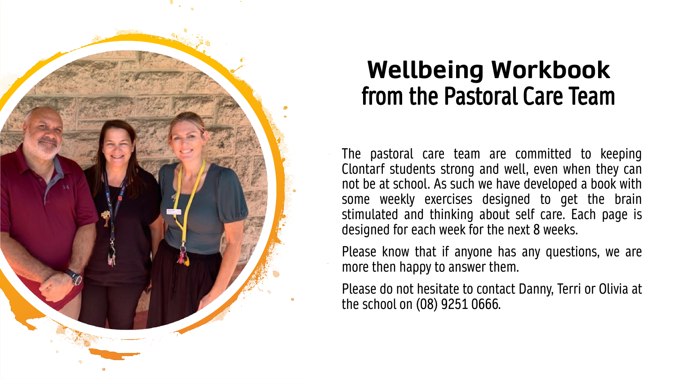

### **Wellbeing Workbook**  from the Pastoral Care Team

The pastoral care team are committed to keeping Clontarf students strong and well, even when they can not be at school. As such we have developed a book with some weekly exercises designed to get the brain stimulated and thinking about self care. Each page is designed for each week for the next 8 weeks.

Please know that if anyone has any questions, we are more then happy to answer them.

Please do not hesitate to contact Danny, Terri or Olivia at the school on (08) 9251 0666.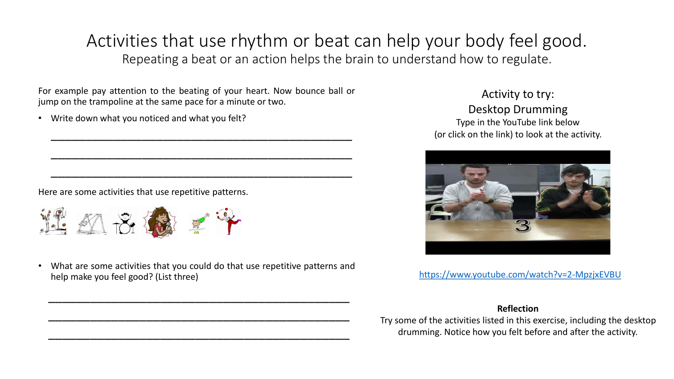### Activities that use rhythm or beat can help your body feel good. Repeating a beat or an action helps the brain to understand how to regulate.

For example pay attention to the beating of your heart. Now bounce ball or jump on the trampoline at the same pace for a minute or two.

\_\_\_\_\_\_\_\_\_\_\_\_\_\_\_\_\_\_\_\_\_\_\_\_\_\_\_\_\_\_\_\_\_\_\_\_\_\_\_\_\_\_\_

\_\_\_\_\_\_\_\_\_\_\_\_\_\_\_\_\_\_\_\_\_\_\_\_\_\_\_\_\_\_\_\_\_\_\_\_\_\_\_\_\_\_\_

\_\_\_\_\_\_\_\_\_\_\_\_\_\_\_\_\_\_\_\_\_\_\_\_\_\_\_\_\_\_\_\_\_\_\_\_\_\_\_\_\_\_\_

• Write down what you noticed and what you felt?

Here are some activities that use repetitive patterns.



• What are some activities that you could do that use repetitive patterns and help make you feel good? (List three)

\_\_\_\_\_\_\_\_\_\_\_\_\_\_\_\_\_\_\_\_\_\_\_\_\_\_\_\_\_\_\_\_\_\_\_\_\_\_\_\_\_\_\_

\_\_\_\_\_\_\_\_\_\_\_\_\_\_\_\_\_\_\_\_\_\_\_\_\_\_\_\_\_\_\_\_\_\_\_\_\_\_\_\_\_\_\_

\_\_\_\_\_\_\_\_\_\_\_\_\_\_\_\_\_\_\_\_\_\_\_\_\_\_\_\_\_\_\_\_\_\_\_\_\_\_\_\_\_\_\_

Activity to try: Desktop Drumming Type in the YouTube link below (or click on the link) to look at the activity.



<https://www.youtube.com/watch?v=2-MpzjxEVBU>

#### **Reflection**

Try some of the activities listed in this exercise, including the desktop drumming. Notice how you felt before and after the activity.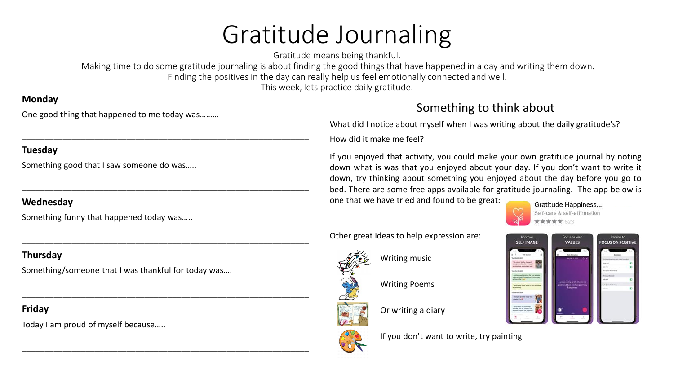# Gratitude Journaling

Gratitude means being thankful.

Making time to do some gratitude journaling is about finding the good things that have happened in a day and writing them down.

Finding the positives in the day can really help us feel emotionally connected and well.

This week, lets practice daily gratitude.

#### **Monday**

One good thing that happened to me today was………

\_\_\_\_\_\_\_\_\_\_\_\_\_\_\_\_\_\_\_\_\_\_\_\_\_\_\_\_\_\_\_\_\_\_\_\_\_\_\_\_\_\_\_\_\_\_\_\_\_\_\_\_\_\_\_\_\_\_\_\_\_\_\_

\_\_\_\_\_\_\_\_\_\_\_\_\_\_\_\_\_\_\_\_\_\_\_\_\_\_\_\_\_\_\_\_\_\_\_\_\_\_\_\_\_\_\_\_\_\_\_\_\_\_\_\_\_\_\_\_\_\_\_\_\_\_\_

\_\_\_\_\_\_\_\_\_\_\_\_\_\_\_\_\_\_\_\_\_\_\_\_\_\_\_\_\_\_\_\_\_\_\_\_\_\_\_\_\_\_\_\_\_\_\_\_\_\_\_\_\_\_\_\_\_\_\_\_\_\_\_

\_\_\_\_\_\_\_\_\_\_\_\_\_\_\_\_\_\_\_\_\_\_\_\_\_\_\_\_\_\_\_\_\_\_\_\_\_\_\_\_\_\_\_\_\_\_\_\_\_\_\_\_\_\_\_\_\_\_\_\_\_\_\_

\_\_\_\_\_\_\_\_\_\_\_\_\_\_\_\_\_\_\_\_\_\_\_\_\_\_\_\_\_\_\_\_\_\_\_\_\_\_\_\_\_\_\_\_\_\_\_\_\_\_\_\_\_\_\_\_\_\_\_\_\_\_\_

#### **Tuesday**

Something good that I saw someone do was…..

#### **Wednesday**

Something funny that happened today was…..

#### **Thursday**

Something/someone that I was thankful for today was….

#### **Friday**

Today I am proud of myself because…..

#### Something to think about

What did I notice about myself when I was writing about the daily gratitude's? How did it make me feel?

If you enjoyed that activity, you could make your own gratitude journal by noting down what is was that you enjoyed about your day. If you don't want to write it down, try thinking about something you enjoyed about the day before you go to bed. There are some free apps available for gratitude journaling. The app below is one that we have tried and found to be great:



Other great ideas to help expression are:



Writing music

Writing Poems

Or writing a diary





If you don't want to write, try painting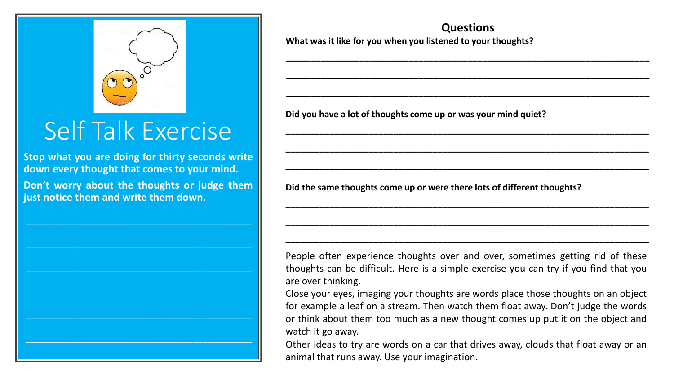

## Self Talk Exercise

**Stop what you are doing for thirty seconds write down every thought that comes to your mind. Don't worry about the thoughts or judge them**

**just notice them and write them down.**

 $\_$  , and the set of the set of the set of the set of the set of the set of the set of the set of the set of the set of the set of the set of the set of the set of the set of the set of the set of the set of the set of th

 $\_$  , and the set of the set of the set of the set of the set of the set of the set of the set of the set of the set of the set of the set of the set of the set of the set of the set of the set of the set of the set of th

**Questions What was it like for you when you listened to your thoughts?**

**\_\_\_\_\_\_\_\_\_\_\_\_\_\_\_\_\_\_\_\_\_\_\_\_\_\_\_\_\_\_\_\_\_\_\_\_\_\_\_\_\_\_\_\_\_\_\_\_\_\_\_\_\_\_\_\_\_\_\_\_\_\_\_\_\_\_\_\_\_\_\_\_\_\_**

**\_\_\_\_\_\_\_\_\_\_\_\_\_\_\_\_\_\_\_\_\_\_\_\_\_\_\_\_\_\_\_\_\_\_\_\_\_\_\_\_\_\_\_\_\_\_\_\_\_\_\_\_\_\_\_\_\_\_\_\_\_\_\_\_\_\_\_\_\_\_\_\_\_\_**

**\_\_\_\_\_\_\_\_\_\_\_\_\_\_\_\_\_\_\_\_\_\_\_\_\_\_\_\_\_\_\_\_\_\_\_\_\_\_\_\_\_\_\_\_\_\_\_\_\_\_\_\_\_\_\_\_\_\_\_\_\_\_\_\_\_\_\_\_\_\_\_\_\_\_**

**\_\_\_\_\_\_\_\_\_\_\_\_\_\_\_\_\_\_\_\_\_\_\_\_\_\_\_\_\_\_\_\_\_\_\_\_\_\_\_\_\_\_\_\_\_\_\_\_\_\_\_\_\_\_\_\_\_\_\_\_\_\_\_\_\_\_\_\_\_\_\_\_\_\_**

**\_\_\_\_\_\_\_\_\_\_\_\_\_\_\_\_\_\_\_\_\_\_\_\_\_\_\_\_\_\_\_\_\_\_\_\_\_\_\_\_\_\_\_\_\_\_\_\_\_\_\_\_\_\_\_\_\_\_\_\_\_\_\_\_\_\_\_\_\_\_\_\_\_\_**

**\_\_\_\_\_\_\_\_\_\_\_\_\_\_\_\_\_\_\_\_\_\_\_\_\_\_\_\_\_\_\_\_\_\_\_\_\_\_\_\_\_\_\_\_\_\_\_\_\_\_\_\_\_\_\_\_\_\_\_\_\_\_\_\_\_\_\_\_\_\_\_\_\_\_**

**\_\_\_\_\_\_\_\_\_\_\_\_\_\_\_\_\_\_\_\_\_\_\_\_\_\_\_\_\_\_\_\_\_\_\_\_\_\_\_\_\_\_\_\_\_\_\_\_\_\_\_\_\_\_\_\_\_\_\_\_\_\_\_\_\_\_\_\_\_\_\_\_\_\_**

**\_\_\_\_\_\_\_\_\_\_\_\_\_\_\_\_\_\_\_\_\_\_\_\_\_\_\_\_\_\_\_\_\_\_\_\_\_\_\_\_\_\_\_\_\_\_\_\_\_\_\_\_\_\_\_\_\_\_\_\_\_\_\_\_\_\_\_\_\_\_\_\_\_\_**

**\_\_\_\_\_\_\_\_\_\_\_\_\_\_\_\_\_\_\_\_\_\_\_\_\_\_\_\_\_\_\_\_\_\_\_\_\_\_\_\_\_\_\_\_\_\_\_\_\_\_\_\_\_\_\_\_\_\_\_\_\_\_\_\_\_\_\_\_\_\_\_\_\_\_**

**Did you have a lot of thoughts come up or was your mind quiet?**

**Did the same thoughts come up or were there lots of different thoughts?**

People often experience thoughts over and over, sometimes getting rid of these thoughts can be difficult. Here is a simple exercise you can try if you find that you are over thinking.

Close your eyes, imaging your thoughts are words place those thoughts on an object for example a leaf on a stream. Then watch them float away. Don't judge the words or think about them too much as a new thought comes up put it on the object and watch it go away.

Other ideas to try are words on a car that drives away, clouds that float away or an animal that runs away. Use your imagination.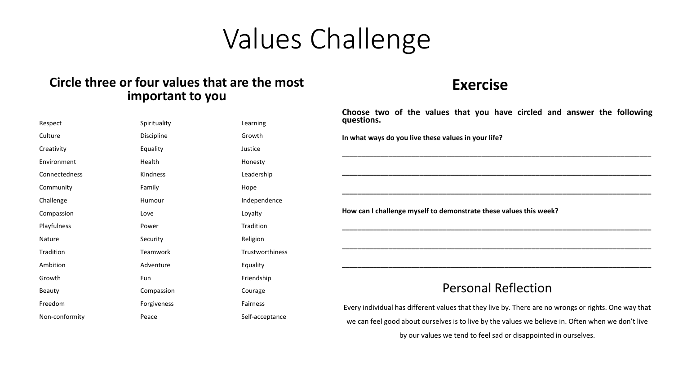## Values Challenge

#### **Circle three or four values that are the most important to you**

| Respect        | Spirituality | Learning               |
|----------------|--------------|------------------------|
| Culture        | Discipline   | Growth                 |
| Creativity     | Equality     | Justice                |
| Environment    | Health       | Honesty                |
| Connectedness  | Kindness     | Leadership             |
| Community      | Family       | Hope                   |
| Challenge      | Humour       | Independence           |
| Compassion     | Love         | Loyalty                |
| Playfulness    | Power        | Tradition              |
| Nature         | Security     | Religion               |
| Tradition      | Teamwork     | <b>Trustworthiness</b> |
| Ambition       | Adventure    | Equality               |
| Growth         | Fun          | Friendship             |
| Beauty         | Compassion   | Courage                |
| Freedom        | Forgiveness  | Fairness               |
| Non-conformity | Peace        | Self-acceptance        |

#### **Exercise**

**Choose two of the values that you have circled and answer the following questions. In what ways do you live these values in your life? \_\_\_\_\_\_\_\_\_\_\_\_\_\_\_\_\_\_\_\_\_\_\_\_\_\_\_\_\_\_\_\_\_\_\_\_\_\_\_\_\_\_\_\_\_\_\_\_\_\_\_\_\_\_\_\_\_\_\_\_\_\_\_\_\_\_\_\_\_\_\_\_\_\_\_\_\_\_\_\_ \_\_\_\_\_\_\_\_\_\_\_\_\_\_\_\_\_\_\_\_\_\_\_\_\_\_\_\_\_\_\_\_\_\_\_\_\_\_\_\_\_\_\_\_\_\_\_\_\_\_\_\_\_\_\_\_\_\_\_\_\_\_\_\_\_\_\_\_\_\_\_\_\_\_\_\_\_\_\_\_ \_\_\_\_\_\_\_\_\_\_\_\_\_\_\_\_\_\_\_\_\_\_\_\_\_\_\_\_\_\_\_\_\_\_\_\_\_\_\_\_\_\_\_\_\_\_\_\_\_\_\_\_\_\_\_\_\_\_\_\_\_\_\_\_\_\_\_\_\_\_\_\_\_\_\_\_\_\_\_\_ How can I challenge myself to demonstrate these values this week?**

#### Personal Reflection

**\_\_\_\_\_\_\_\_\_\_\_\_\_\_\_\_\_\_\_\_\_\_\_\_\_\_\_\_\_\_\_\_\_\_\_\_\_\_\_\_\_\_\_\_\_\_\_\_\_\_\_\_\_\_\_\_\_\_\_\_\_\_\_\_\_\_\_\_\_\_\_\_\_\_\_\_\_\_\_\_**

**\_\_\_\_\_\_\_\_\_\_\_\_\_\_\_\_\_\_\_\_\_\_\_\_\_\_\_\_\_\_\_\_\_\_\_\_\_\_\_\_\_\_\_\_\_\_\_\_\_\_\_\_\_\_\_\_\_\_\_\_\_\_\_\_\_\_\_\_\_\_\_\_\_\_\_\_\_\_\_\_**

**\_\_\_\_\_\_\_\_\_\_\_\_\_\_\_\_\_\_\_\_\_\_\_\_\_\_\_\_\_\_\_\_\_\_\_\_\_\_\_\_\_\_\_\_\_\_\_\_\_\_\_\_\_\_\_\_\_\_\_\_\_\_\_\_\_\_\_\_\_\_\_\_\_\_\_\_\_\_\_\_**

Every individual has different values that they live by. There are no wrongs or rights. One way that we can feel good about ourselves is to live by the values we believe in. Often when we don't live

by our values we tend to feel sad or disappointed in ourselves.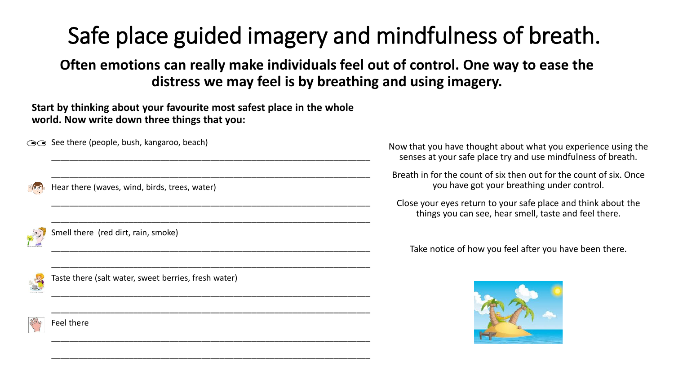## Safe place guided imagery and mindfulness of breath.

**Often emotions can really make individuals feel out of control. One way to ease the distress we may feel is by breathing and using imagery.**

**Start by thinking about your favourite most safest place in the whole world. Now write down three things that you:**

\_\_\_\_\_\_\_\_\_\_\_\_\_\_\_\_\_\_\_\_\_\_\_\_\_\_\_\_\_\_\_\_\_\_\_\_\_\_\_\_\_\_\_\_\_\_\_\_\_\_\_\_\_\_\_\_\_\_\_\_\_\_\_\_\_\_\_\_\_\_

\_\_\_\_\_\_\_\_\_\_\_\_\_\_\_\_\_\_\_\_\_\_\_\_\_\_\_\_\_\_\_\_\_\_\_\_\_\_\_\_\_\_\_\_\_\_\_\_\_\_\_\_\_\_\_\_\_\_\_\_\_\_\_\_\_\_\_\_\_\_

\_\_\_\_\_\_\_\_\_\_\_\_\_\_\_\_\_\_\_\_\_\_\_\_\_\_\_\_\_\_\_\_\_\_\_\_\_\_\_\_\_\_\_\_\_\_\_\_\_\_\_\_\_\_\_\_\_\_\_\_\_\_\_\_\_\_\_\_\_\_

\_\_\_\_\_\_\_\_\_\_\_\_\_\_\_\_\_\_\_\_\_\_\_\_\_\_\_\_\_\_\_\_\_\_\_\_\_\_\_\_\_\_\_\_\_\_\_\_\_\_\_\_\_\_\_\_\_\_\_\_\_\_\_\_\_\_\_\_\_\_

\_\_\_\_\_\_\_\_\_\_\_\_\_\_\_\_\_\_\_\_\_\_\_\_\_\_\_\_\_\_\_\_\_\_\_\_\_\_\_\_\_\_\_\_\_\_\_\_\_\_\_\_\_\_\_\_\_\_\_\_\_\_\_\_\_\_\_\_\_\_

\_\_\_\_\_\_\_\_\_\_\_\_\_\_\_\_\_\_\_\_\_\_\_\_\_\_\_\_\_\_\_\_\_\_\_\_\_\_\_\_\_\_\_\_\_\_\_\_\_\_\_\_\_\_\_\_\_\_\_\_\_\_\_\_\_\_\_\_\_\_

\_\_\_\_\_\_\_\_\_\_\_\_\_\_\_\_\_\_\_\_\_\_\_\_\_\_\_\_\_\_\_\_\_\_\_\_\_\_\_\_\_\_\_\_\_\_\_\_\_\_\_\_\_\_\_\_\_\_\_\_\_\_\_\_\_\_\_\_\_\_

\_\_\_\_\_\_\_\_\_\_\_\_\_\_\_\_\_\_\_\_\_\_\_\_\_\_\_\_\_\_\_\_\_\_\_\_\_\_\_\_\_\_\_\_\_\_\_\_\_\_\_\_\_\_\_\_\_\_\_\_\_\_\_\_\_\_\_\_\_\_

\_\_\_\_\_\_\_\_\_\_\_\_\_\_\_\_\_\_\_\_\_\_\_\_\_\_\_\_\_\_\_\_\_\_\_\_\_\_\_\_\_\_\_\_\_\_\_\_\_\_\_\_\_\_\_\_\_\_\_\_\_\_\_\_\_\_\_\_\_\_

\_\_\_\_\_\_\_\_\_\_\_\_\_\_\_\_\_\_\_\_\_\_\_\_\_\_\_\_\_\_\_\_\_\_\_\_\_\_\_\_\_\_\_\_\_\_\_\_\_\_\_\_\_\_\_\_\_\_\_\_\_\_\_\_\_\_\_\_\_\_

**See there (people, bush, kangaroo, beach)** 

Hear there (waves, wind, birds, trees, water)

Smell there (red dirt, rain, smoke)

Taste there (salt water, sweet berries, fresh water)

Feel there

Now that you have thought about what you experience using the senses at your safe place try and use mindfulness of breath.

Breath in for the count of six then out for the count of six. Once you have got your breathing under control.

Close your eyes return to your safe place and think about the things you can see, hear smell, taste and feel there.

Take notice of how you feel after you have been there.

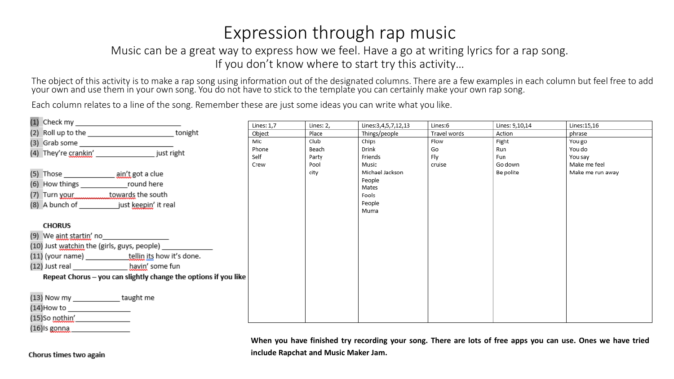### Expression through rap music

#### Music can be a great way to express how we feel. Have a go at writing lyrics for a rap song. If you don't know where to start try this activity…

The object of this activity is to make a rap song using information out of the designated columns. There are a few examples in each column but feel free to add your own and use them in your own song. You do not have to stick to the template you can certainly make your own rap song.

Each column relates to a line of the song. Remember these are just some ideas you can write what you like.

|                                                                                                                                                                                                                               |                                                                 | Lines: 1,7 | Lines: 2, | Lines: 3, 4, 5, 7, 12, 13 | Lines:6      | Lines: 9,10,14 | Lines:15,16      |
|-------------------------------------------------------------------------------------------------------------------------------------------------------------------------------------------------------------------------------|-----------------------------------------------------------------|------------|-----------|---------------------------|--------------|----------------|------------------|
| (2) Roll up to the __________________________tonight                                                                                                                                                                          |                                                                 | Object     | Place     | Things/people             | Travel words | Action         | phrase           |
| (3) Grab some example and some service and some service and some service and service and service and                                                                                                                          |                                                                 | Mic        | Club      | Chips                     | Flow         | Fight          | You go           |
| (4) They're crankin' interest in the property of the property of the property of the property of the property of the property of the property of the property of the property of the property of the property of the property |                                                                 | Phone      | Beach     | Drink                     | Go           | Run            | You do           |
|                                                                                                                                                                                                                               |                                                                 | Self       | Party     | Friends                   | Fly          | Fun            | You say          |
|                                                                                                                                                                                                                               |                                                                 | Crew       | Pool      | Music                     | cruise       | Go down        | Make me feel     |
|                                                                                                                                                                                                                               |                                                                 |            | city      | Michael Jackson<br>People |              | Be polite      | Make me run away |
| (6) How things _____________________round here                                                                                                                                                                                |                                                                 |            |           | Mates                     |              |                |                  |
| (7) Turn your towards the south                                                                                                                                                                                               |                                                                 |            |           | Fools                     |              |                |                  |
| (8) A bunch of just keepin' it real                                                                                                                                                                                           |                                                                 |            |           | People                    |              |                |                  |
|                                                                                                                                                                                                                               |                                                                 |            |           | Muma                      |              |                |                  |
| <b>CHORUS</b>                                                                                                                                                                                                                 |                                                                 |            |           |                           |              |                |                  |
| (9) We <u>aint startin'</u> no                                                                                                                                                                                                |                                                                 |            |           |                           |              |                |                  |
| (10) Just watchin the (girls, guys, people) ________                                                                                                                                                                          |                                                                 |            |           |                           |              |                |                  |
| (11) (your name) _____________tellin its how it's done.                                                                                                                                                                       |                                                                 |            |           |                           |              |                |                  |
| (12) Just real havin' some fun                                                                                                                                                                                                |                                                                 |            |           |                           |              |                |                  |
|                                                                                                                                                                                                                               | Repeat Chorus - you can slightly change the options if you like |            |           |                           |              |                |                  |
|                                                                                                                                                                                                                               |                                                                 |            |           |                           |              |                |                  |
| (13) Now my _______________taught me                                                                                                                                                                                          |                                                                 |            |           |                           |              |                |                  |
|                                                                                                                                                                                                                               |                                                                 |            |           |                           |              |                |                  |
| $(15)$ So nothin'                                                                                                                                                                                                             |                                                                 |            |           |                           |              |                |                  |
| $(16)$ ls gonna                                                                                                                                                                                                               |                                                                 |            |           |                           |              |                |                  |

When you have finished try recording your song. There are lots of free apps you can use. Ones we have tried **include Rapchat and Music Maker Jam.**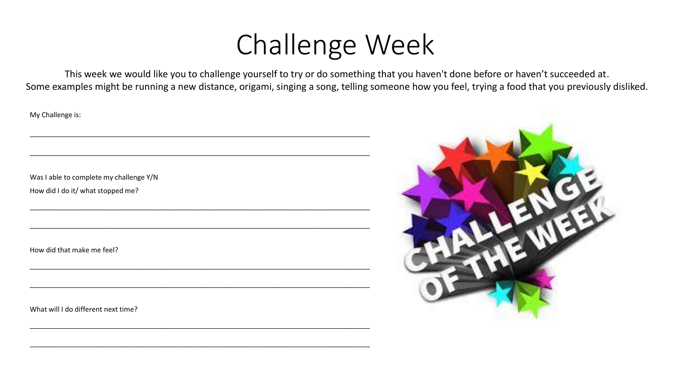# Challenge Week

This week we would like you to challenge yourself to try or do something that you haven't done before or haven't succeeded at. Some examples might be running a new distance, origami, singing a song, telling someone how you feel, trying a food that you previously disliked.

My Challenge is:

Was I able to complete my challenge Y/N How did I do it/ what stopped me?

\_\_\_\_\_\_\_\_\_\_\_\_\_\_\_\_\_\_\_\_\_\_\_\_\_\_\_\_\_\_\_\_\_\_\_\_\_\_\_\_\_\_\_\_\_\_\_\_\_\_\_\_\_\_\_\_\_\_\_\_\_\_\_\_\_\_\_\_\_\_\_\_\_\_\_\_\_\_\_\_\_\_\_\_\_\_\_\_

\_\_\_\_\_\_\_\_\_\_\_\_\_\_\_\_\_\_\_\_\_\_\_\_\_\_\_\_\_\_\_\_\_\_\_\_\_\_\_\_\_\_\_\_\_\_\_\_\_\_\_\_\_\_\_\_\_\_\_\_\_\_\_\_\_\_\_\_\_\_\_\_\_\_\_\_\_\_\_\_\_\_\_\_\_\_\_\_

\_\_\_\_\_\_\_\_\_\_\_\_\_\_\_\_\_\_\_\_\_\_\_\_\_\_\_\_\_\_\_\_\_\_\_\_\_\_\_\_\_\_\_\_\_\_\_\_\_\_\_\_\_\_\_\_\_\_\_\_\_\_\_\_\_\_\_\_\_\_\_\_\_\_\_\_\_\_\_\_\_\_\_\_\_\_\_\_

\_\_\_\_\_\_\_\_\_\_\_\_\_\_\_\_\_\_\_\_\_\_\_\_\_\_\_\_\_\_\_\_\_\_\_\_\_\_\_\_\_\_\_\_\_\_\_\_\_\_\_\_\_\_\_\_\_\_\_\_\_\_\_\_\_\_\_\_\_\_\_\_\_\_\_\_\_\_\_\_\_\_\_\_\_\_\_\_

\_\_\_\_\_\_\_\_\_\_\_\_\_\_\_\_\_\_\_\_\_\_\_\_\_\_\_\_\_\_\_\_\_\_\_\_\_\_\_\_\_\_\_\_\_\_\_\_\_\_\_\_\_\_\_\_\_\_\_\_\_\_\_\_\_\_\_\_\_\_\_\_\_\_\_\_\_\_\_\_\_\_\_\_\_\_\_\_

\_\_\_\_\_\_\_\_\_\_\_\_\_\_\_\_\_\_\_\_\_\_\_\_\_\_\_\_\_\_\_\_\_\_\_\_\_\_\_\_\_\_\_\_\_\_\_\_\_\_\_\_\_\_\_\_\_\_\_\_\_\_\_\_\_\_\_\_\_\_\_\_\_\_\_\_\_\_\_\_\_\_\_\_\_\_\_\_

\_\_\_\_\_\_\_\_\_\_\_\_\_\_\_\_\_\_\_\_\_\_\_\_\_\_\_\_\_\_\_\_\_\_\_\_\_\_\_\_\_\_\_\_\_\_\_\_\_\_\_\_\_\_\_\_\_\_\_\_\_\_\_\_\_\_\_\_\_\_\_\_\_\_\_\_\_\_\_\_\_\_\_\_\_\_\_\_

\_\_\_\_\_\_\_\_\_\_\_\_\_\_\_\_\_\_\_\_\_\_\_\_\_\_\_\_\_\_\_\_\_\_\_\_\_\_\_\_\_\_\_\_\_\_\_\_\_\_\_\_\_\_\_\_\_\_\_\_\_\_\_\_\_\_\_\_\_\_\_\_\_\_\_\_\_\_\_\_\_\_\_\_\_\_\_\_

How did that make me feel?

What will I do different next time?

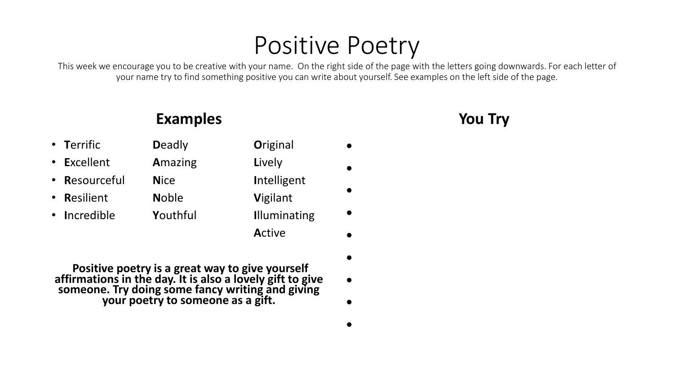### Positive Poetry

This week we encourage you to be creative with your name. On the right side of the page with the letters going downwards. For each letter of your name try to find something positive you can write about yourself. See examples on the left side of the page.

•

•

•

•

•

•

•

### **Examples**

**You Try**

- **T**errific **D**eadly **O**riginal
- **E**xcellent **A**mazing **L**ively
- **R**esourceful **N**ice **I**ntelligent
- **R**esilient **N**oble **V**igilant
- **I**ncredible **Y**outhful **I**lluminating
- 
- 
- 
- 

**A**ctive

- **Positive poetry is a great way to give yourself affirmations in the day. It is also a lovely gift to give someone. Try doing some fancy writing and giving your poetry to someone as a gift.**
- •

•